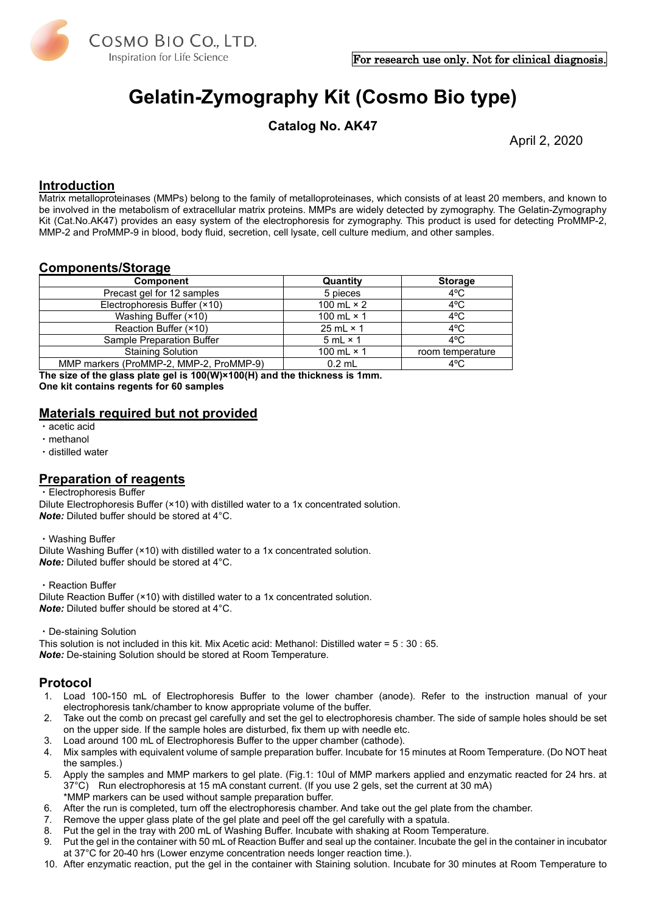

# **Gelatin-Zymography Kit (Cosmo Bio type)**

**Catalog No. AK47**

April 2, 2020

#### **Introduction**

Matrix metalloproteinases (MMPs) belong to the family of metalloproteinases, which consists of at least 20 members, and known to be involved in the metabolism of [extracellular matrix](http://en.wikipedia.org/wiki/Extracellular_matrix) proteins. MMPs are widely detected by zymography. The Gelatin-Zymography Kit (Cat.No.AK47) provides an easy system of the electrophoresis for zymography. This product is used for detecting ProMMP-2, MMP-2 and ProMMP-9 in blood, body fluid, secretion, cell lysate, cell culture medium, and other samples.

#### **Components/Storage**

| <b>Component</b>                        | Quantity          | <b>Storage</b>   |
|-----------------------------------------|-------------------|------------------|
| Precast gel for 12 samples              | 5 pieces          | $4^{\circ}$ C    |
| Electrophoresis Buffer (×10)            | 100 mL $\times$ 2 | $4^{\circ}$ C    |
| Washing Buffer (×10)                    | 100 mL $\times$ 1 | $4^{\circ}$ C    |
| Reaction Buffer (×10)                   | 25 mL $\times$ 1  | $4^{\circ}$ C    |
| Sample Preparation Buffer               | $5 mL \times 1$   | $4^{\circ}$ C    |
| <b>Staining Solution</b>                | 100 mL $\times$ 1 | room temperature |
| MMP markers (ProMMP-2, MMP-2, ProMMP-9) | $0.2$ mL          | $4^{\circ}$ C    |

**The size of the glass plate gel is 100(W)×100(H) and the thickness is 1mm. One kit contains regents for 60 samples**

### **Materials required but not provided**

・acetic acid

- ・methanol
- ・distilled water

### **Preparation of reagents**

#### ・Electrophoresis Buffer

Dilute Electrophoresis Buffer (×10) with distilled water to a 1x concentrated solution. *Note:* Diluted buffer should be stored at 4°C.

・Washing Buffer Dilute Washing Buffer (×10) with distilled water to a 1x concentrated solution. *Note:* Diluted buffer should be stored at 4°C.

・Reaction Buffer

Dilute Reaction Buffer (×10) with distilled water to a 1x concentrated solution. *Note:* Diluted buffer should be stored at 4°C.

#### ・De-staining Solution

This solution is not included in this kit. Mix Acetic acid: Methanol: Distilled water = 5 : 30 : 65. *Note:* De-staining Solution should be stored at Room Temperature.

### **Protocol**

- 1. Load 100-150 mL of Electrophoresis Buffer to the lower chamber (anode). Refer to the instruction manual of your electrophoresis tank/chamber to know appropriate volume of the buffer.
- 2. Take out the comb on precast gel carefully and set the gel to electrophoresis chamber. The side of sample holes should be set on the upper side. If the sample holes are disturbed, fix them up with needle etc.
- 3. Load around 100 mL of Electrophoresis Buffer to the upper chamber (cathode).
- 4. Mix samples with equivalent volume of sample preparation buffer. Incubate for 15 minutes at Room Temperature. (Do NOT heat the samples.)
- 5. Apply the samples and MMP markers to gel plate. (Fig.1: 10ul of MMP markers applied and enzymatic reacted for 24 hrs. at 37°C) Run electrophoresis at 15 mA constant current. (If you use 2 gels, set the current at 30 mA) \*MMP markers can be used without sample preparation buffer.
- 6. After the run is completed, turn off the electrophoresis chamber. And take out the gel plate from the chamber.
- 7. Remove the upper glass plate of the gel plate and peel off the gel carefully with a spatula.
- 8. Put the gel in the tray with 200 mL of Washing Buffer. Incubate with shaking at Room Temperature.
- 9. Put the gel in the container with 50 mL of Reaction Buffer and seal up the container. Incubate the gel in the container in incubator at 37°C for 20-40 hrs (Lower enzyme concentration needs longer reaction time.).
- 10. After enzymatic reaction, put the gel in the container with Staining solution. Incubate for 30 minutes at Room Temperature to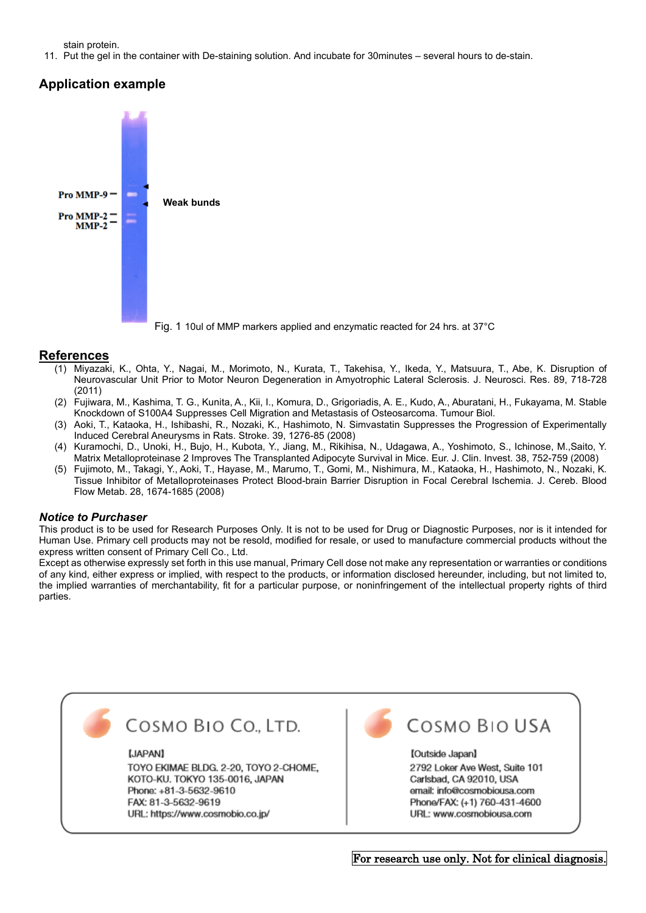stain protein.

11. Put the gel in the container with De-staining solution. And incubate for 30minutes – several hours to de-stain.

## **Application example**



#### **References**

- (1) Miyazaki, K., Ohta, Y., Nagai, M., Morimoto, N., Kurata, T., Takehisa, Y., Ikeda, Y., Matsuura, T., Abe, K. Disruption of Neurovascular Unit Prior to Motor Neuron Degeneration in Amyotrophic Lateral Sclerosis. J. Neurosci. Res. 89, 718-728 (2011)
- (2) Fujiwara, M., Kashima, T. G., Kunita, A., Kii, I., Komura, D., Grigoriadis, A. E., Kudo, A., Aburatani, H., Fukayama, M. Stable Knockdown of S100A4 Suppresses Cell Migration and Metastasis of Osteosarcoma. Tumour Biol.
- (3) Aoki, T., Kataoka, H., Ishibashi, R., Nozaki, K., Hashimoto, N. Simvastatin Suppresses the Progression of Experimentally Induced Cerebral Aneurysms in Rats. Stroke. 39, 1276-85 (2008)
- (4) Kuramochi, D., Unoki, H., Bujo, H., Kubota, Y., Jiang, M., Rikihisa, N., Udagawa, A., Yoshimoto, S., Ichinose, M.,Saito, Y. Matrix Metalloproteinase 2 Improves The Transplanted Adipocyte Survival in Mice. Eur. J. Clin. Invest. 38, 752-759 (2008)
- (5) Fujimoto, M., Takagi, Y., Aoki, T., Hayase, M., Marumo, T., Gomi, M., Nishimura, M., Kataoka, H., Hashimoto, N., Nozaki, K. Tissue Inhibitor of Metalloproteinases Protect Blood-brain Barrier Disruption in Focal Cerebral Ischemia. J. Cereb. Blood Flow Metab. 28, 1674-1685 (2008)

#### *Notice to Purchaser*

This product is to be used for Research Purposes Only. It is not to be used for Drug or Diagnostic Purposes, nor is it intended for Human Use. Primary cell products may not be resold, modified for resale, or used to manufacture commercial products without the express written consent of Primary Cell Co., Ltd.

Except as otherwise expressly set forth in this use manual, Primary Cell dose not make any representation or warranties or conditions of any kind, either express or implied, with respect to the products, or information disclosed hereunder, including, but not limited to, the implied warranties of merchantability, fit for a particular purpose, or noninfringement of the intellectual property rights of third parties.



#### [JAPAN]

TOYO EKIMAE BLDG, 2-20, TOYO 2-CHOME. KOTO-KU. TOKYO 135-0016, JAPAN Phone: +81-3-5632-9610 FAX: 81-3-5632-9619 URL: https://www.cosmobio.co.jp/



# COSMO BIO USA

[Outside Japan] 2792 Loker Ave West, Suite 101 Carlsbad, CA 92010, USA email: info@cosmobiousa.com Phone/FAX: (+1) 760-431-4600 URL: www.cosmobiousa.com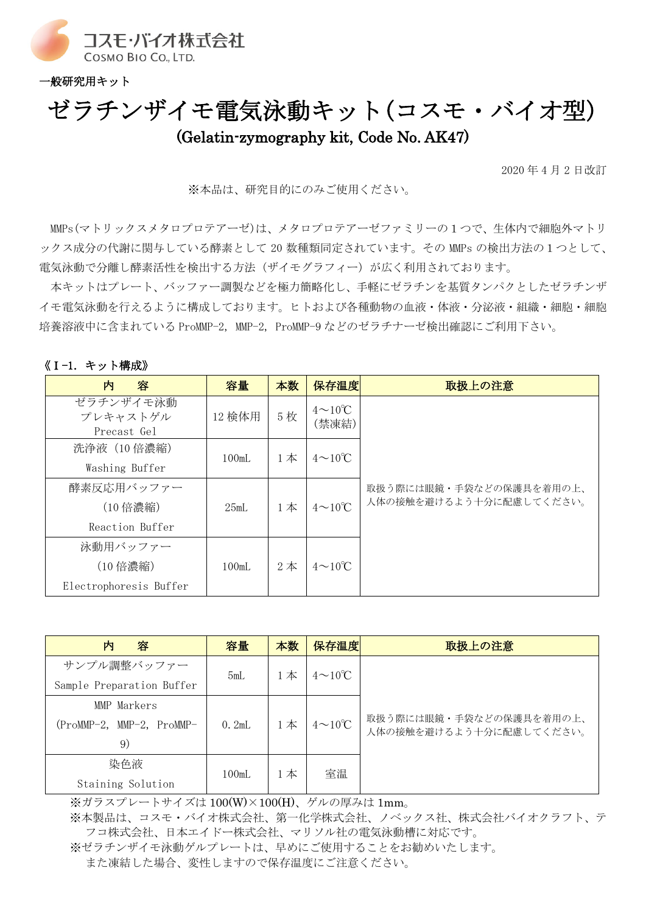

一般研究用キット

# ゼラチンザイモ電気泳動キット(コスモ・バイオ型) (Gelatin-zymography kit, Code No. AK47)

2020 年 4 月 2 日改訂

※本品は、研究目的にのみご使用ください。

MMPs(マトリックスメタロプロテアーゼ)は、メタロプロテアーゼファミリーの1つで、生体内で細胞外マトリ ックス成分の代謝に関与している酵素として 20 数種類同定されています。その MMPs の検出方法の1つとして、 電気泳動で分離し酵素活性を検出する方法(ザイモグラフィー)が広く利用されております。

本キットはプレート、バッファー調製などを極力簡略化し、手軽にゼラチンを基質タンパクとしたゼラチンザ イモ電気泳動を行えるように構成しております。ヒトおよび各種動物の血液・体液・分泌液・組織・細胞・細胞 培養溶液中に含まれている ProMMP-2, MMP-2, ProMMP-9 などのゼラチナーゼ検出確認にご利用下さい。

| 《Ⅰ-1. キット構成》 |  |
|--------------|--|
|--------------|--|

| 内<br>容                               | 容量     | 本数    | 保存温度                          | 取扱上の注意                  |
|--------------------------------------|--------|-------|-------------------------------|-------------------------|
| ゼラチンザイモ泳動<br>プレキャストゲル<br>Precast Gel | 12 検体用 | 5枚    | $4 \sim 10^{\circ}C$<br>(禁凍結) |                         |
| 洗浄液 (10 倍濃縮)                         | 100mL  | $1$ 本 | $4 \sim 10^{\circ}C$          |                         |
| Washing Buffer                       |        |       |                               |                         |
| 酵素反応用バッファー                           |        |       |                               | 取扱う際には眼鏡・手袋などの保護具を着用の上、 |
| (10 倍濃縮)                             | 25mL   | $1$ 本 | $4 \sim 10^{\circ}$ C         | 人体の接触を避けるよう十分に配慮してください。 |
| Reaction Buffer                      |        |       |                               |                         |
| 泳動用バッファー                             |        |       |                               |                         |
| (10 倍濃縮)                             | 100mL  | $2$ 本 | $4\sim10^{\circ}$ C           |                         |
| Electrophoresis Buffer               |        |       |                               |                         |

| 内<br>容                    | 容量    | 本数    | 保存温度                | 取扱上の注意                                             |
|---------------------------|-------|-------|---------------------|----------------------------------------------------|
| サンプル調整バッファー               | 5mL   | 本     | $4\sim10^{\circ}$ C |                                                    |
| Sample Preparation Buffer |       |       |                     |                                                    |
| MMP Markers               |       |       |                     |                                                    |
| (ProMMP-2, MMP-2, ProMMP- | 0.2mL | $1$ 本 | $4\sim10^{\circ}$ C | 取扱う際には眼鏡・手袋などの保護具を着用の上、<br>人体の接触を避けるよう十分に配慮してください。 |
| 9)                        |       |       |                     |                                                    |
| 染色液                       | 100mL | $1$ 本 | 室温                  |                                                    |
| Staining Solution         |       |       |                     |                                                    |

※ガラスプレートサイズは 100(W)×100(H)、ゲルの厚みは 1mm。

※本製品は、コスモ・バイオ株式会社、第一化学株式会社、ノベックス社、株式会社バイオクラフト、テ フコ株式会社、日本エイドー株式会社、マリソル社の電気泳動槽に対応です。

※ゼラチンザイモ泳動ゲルプレートは、早めにご使用することをお勧めいたします。 また凍結した場合、変性しますので保存温度にご注意ください。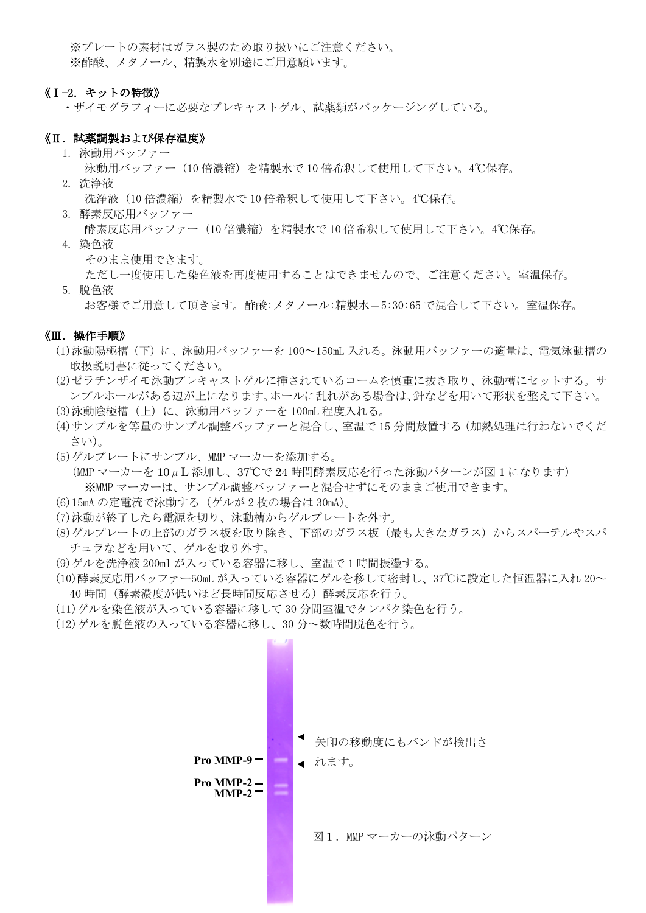※プレートの素材はガラス製のため取り扱いにご注意ください。 ※酢酸、メタノール、精製水を別途にご用意願います。

#### 《Ⅰ-2. キットの特徴》

・ザイモグラフィーに必要なプレキャストゲル、試薬類がパッケージングしている。

#### 《Ⅱ. 試薬調製および保存温度》

- 1. 泳動用バッファー
	- 泳動用バッファー(10 倍濃縮)を精製水で 10 倍希釈して使用して下さい。4℃保存。
- 2. 洗浄液

洗浄液(10倍濃縮)を精製水で 10 倍希釈して使用して下さい。4℃保存。

3. 酵素反応用バッファー

酵素反応用バッファー(10 倍濃縮)を精製水で 10 倍希釈して使用して下さい。4℃保存。

4. 染色液

そのまま使用できます。

ただし一度使用した染色液を再度使用することはできませんので、ご注意ください。室温保存。

5. 脱色液

お客様でご用意して頂きます。酢酸:メタノール:精製水=5:30:65 で混合して下さい。室温保存。

#### 《Ⅲ.操作手順》

- (1)泳動陽極槽(下)に、泳動用バッファーを 100~150mL 入れる。泳動用バッファーの適量は、電気泳動槽の 取扱説明書に従ってください。
- (2)ゼラチンザイモ泳動プレキャストゲルに挿されているコームを慎重に抜き取り、泳動槽にセットする。サ ンプルホールがある辺が上になります。ホールに乱れがある場合は、針などを用いて形状を整えて下さい。
- (3) 泳動陰極槽(上)に、泳動用バッファーを 100mL 程度入れる。
- (4)サンプルを等量のサンプル調整バッファーと混合し、室温で 15 分間放置する(加熱処理は行わないでくだ さい)。
- (5)ゲルプレートにサンプル、MMP マーカーを添加する。

(MMP マーカーを 10μL 添加し、37℃で 24 時間酵素反応を行った泳動パターンが図 1 になります)

- ※MMP マーカーは、サンプル調整バッファーと混合せずにそのままご使用できます。
- (6)15mA の定電流で泳動する(ゲルが 2 枚の場合は 30mA)。
- (7)泳動が終了したら電源を切り、泳動槽からゲルプレートを外す。
- (8) ゲルプレートの上部のガラス板を取り除き、下部のガラス板(最も大きなガラス)からスパーテルやスパ チュラなどを用いて、ゲルを取り外す。
- (9)ゲルを洗浄液 200ml が入っている容器に移し、室温で 1 時間振盪する。
- (10)酵素反応用バッファー50mL が入っている容器にゲルを移して密封し、37℃に設定した恒温器に入れ 20~ 40 時間(酵素濃度が低いほど長時間反応させる)酵素反応を行う。
- (11)ゲルを染色液が入っている容器に移して 30 分間室温でタンパク染色を行う。
- (12)ゲルを脱色液の入っている容器に移し、30 分~数時間脱色を行う。